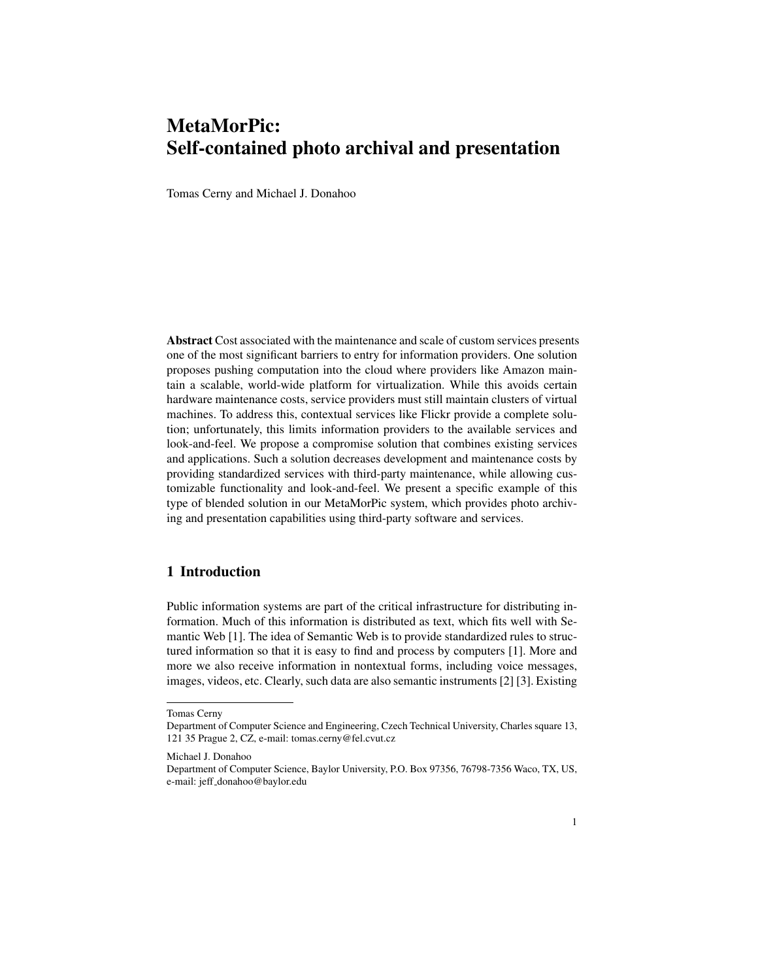# MetaMorPic: Self-contained photo archival and presentation

Tomas Cerny and Michael J. Donahoo

Abstract Cost associated with the maintenance and scale of custom services presents one of the most significant barriers to entry for information providers. One solution proposes pushing computation into the cloud where providers like Amazon maintain a scalable, world-wide platform for virtualization. While this avoids certain hardware maintenance costs, service providers must still maintain clusters of virtual machines. To address this, contextual services like Flickr provide a complete solution; unfortunately, this limits information providers to the available services and look-and-feel. We propose a compromise solution that combines existing services and applications. Such a solution decreases development and maintenance costs by providing standardized services with third-party maintenance, while allowing customizable functionality and look-and-feel. We present a specific example of this type of blended solution in our MetaMorPic system, which provides photo archiving and presentation capabilities using third-party software and services.

## 1 Introduction

Public information systems are part of the critical infrastructure for distributing information. Much of this information is distributed as text, which fits well with Semantic Web [1]. The idea of Semantic Web is to provide standardized rules to structured information so that it is easy to find and process by computers [1]. More and more we also receive information in nontextual forms, including voice messages, images, videos, etc. Clearly, such data are also semantic instruments [2] [3]. Existing

Tomas Cerny

Department of Computer Science and Engineering, Czech Technical University, Charles square 13, 121 35 Prague 2, CZ, e-mail: tomas.cerny@fel.cvut.cz

Michael J. Donahoo

Department of Computer Science, Baylor University, P.O. Box 97356, 76798-7356 Waco, TX, US, e-mail: jeff donahoo@baylor.edu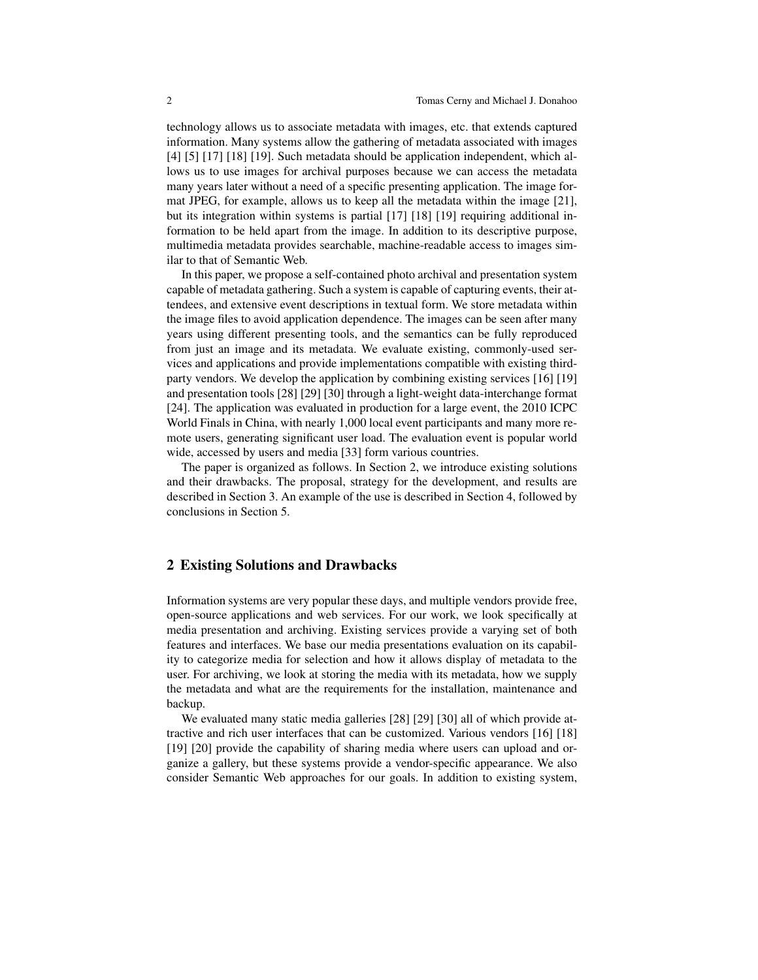technology allows us to associate metadata with images, etc. that extends captured information. Many systems allow the gathering of metadata associated with images [4] [5] [17] [18] [19]. Such metadata should be application independent, which allows us to use images for archival purposes because we can access the metadata many years later without a need of a specific presenting application. The image format JPEG, for example, allows us to keep all the metadata within the image [21], but its integration within systems is partial [17] [18] [19] requiring additional information to be held apart from the image. In addition to its descriptive purpose, multimedia metadata provides searchable, machine-readable access to images similar to that of Semantic Web.

In this paper, we propose a self-contained photo archival and presentation system capable of metadata gathering. Such a system is capable of capturing events, their attendees, and extensive event descriptions in textual form. We store metadata within the image files to avoid application dependence. The images can be seen after many years using different presenting tools, and the semantics can be fully reproduced from just an image and its metadata. We evaluate existing, commonly-used services and applications and provide implementations compatible with existing thirdparty vendors. We develop the application by combining existing services [16] [19] and presentation tools [28] [29] [30] through a light-weight data-interchange format [24]. The application was evaluated in production for a large event, the 2010 ICPC World Finals in China, with nearly 1,000 local event participants and many more remote users, generating significant user load. The evaluation event is popular world wide, accessed by users and media [33] form various countries.

The paper is organized as follows. In Section 2, we introduce existing solutions and their drawbacks. The proposal, strategy for the development, and results are described in Section 3. An example of the use is described in Section 4, followed by conclusions in Section 5.

## 2 Existing Solutions and Drawbacks

Information systems are very popular these days, and multiple vendors provide free, open-source applications and web services. For our work, we look specifically at media presentation and archiving. Existing services provide a varying set of both features and interfaces. We base our media presentations evaluation on its capability to categorize media for selection and how it allows display of metadata to the user. For archiving, we look at storing the media with its metadata, how we supply the metadata and what are the requirements for the installation, maintenance and backup.

We evaluated many static media galleries [28] [29] [30] all of which provide attractive and rich user interfaces that can be customized. Various vendors [16] [18] [19] [20] provide the capability of sharing media where users can upload and organize a gallery, but these systems provide a vendor-specific appearance. We also consider Semantic Web approaches for our goals. In addition to existing system,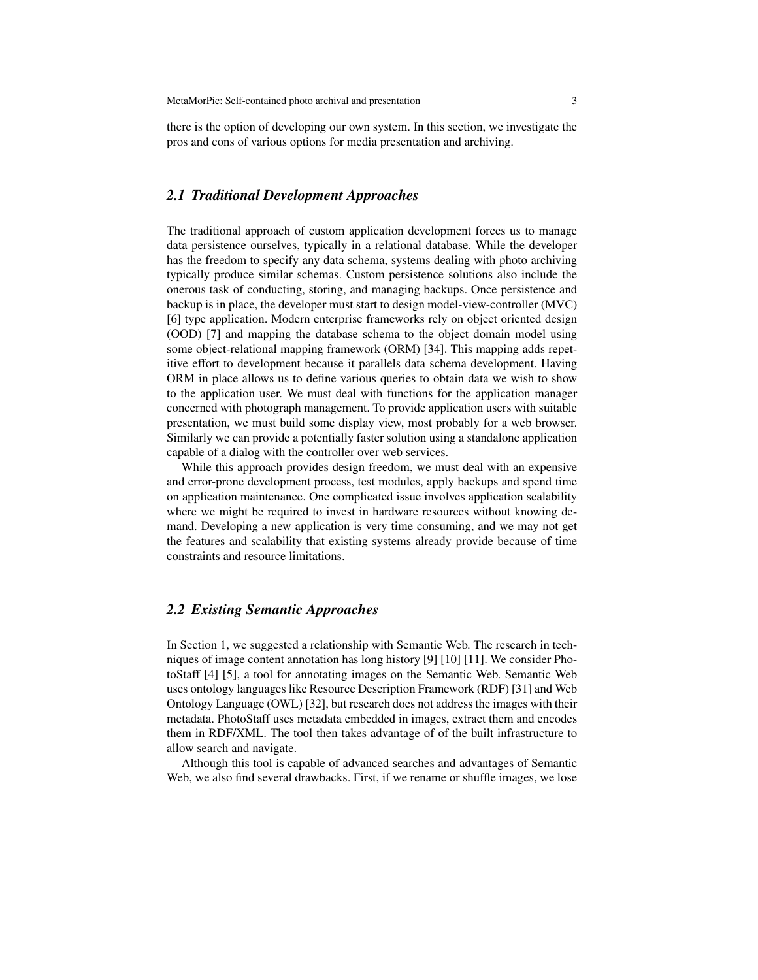there is the option of developing our own system. In this section, we investigate the pros and cons of various options for media presentation and archiving.

## *2.1 Traditional Development Approaches*

The traditional approach of custom application development forces us to manage data persistence ourselves, typically in a relational database. While the developer has the freedom to specify any data schema, systems dealing with photo archiving typically produce similar schemas. Custom persistence solutions also include the onerous task of conducting, storing, and managing backups. Once persistence and backup is in place, the developer must start to design model-view-controller (MVC) [6] type application. Modern enterprise frameworks rely on object oriented design (OOD) [7] and mapping the database schema to the object domain model using some object-relational mapping framework (ORM) [34]. This mapping adds repetitive effort to development because it parallels data schema development. Having ORM in place allows us to define various queries to obtain data we wish to show to the application user. We must deal with functions for the application manager concerned with photograph management. To provide application users with suitable presentation, we must build some display view, most probably for a web browser. Similarly we can provide a potentially faster solution using a standalone application capable of a dialog with the controller over web services.

While this approach provides design freedom, we must deal with an expensive and error-prone development process, test modules, apply backups and spend time on application maintenance. One complicated issue involves application scalability where we might be required to invest in hardware resources without knowing demand. Developing a new application is very time consuming, and we may not get the features and scalability that existing systems already provide because of time constraints and resource limitations.

#### *2.2 Existing Semantic Approaches*

In Section 1, we suggested a relationship with Semantic Web. The research in techniques of image content annotation has long history [9] [10] [11]. We consider PhotoStaff [4] [5], a tool for annotating images on the Semantic Web. Semantic Web uses ontology languages like Resource Description Framework (RDF) [31] and Web Ontology Language (OWL) [32], but research does not address the images with their metadata. PhotoStaff uses metadata embedded in images, extract them and encodes them in RDF/XML. The tool then takes advantage of of the built infrastructure to allow search and navigate.

Although this tool is capable of advanced searches and advantages of Semantic Web, we also find several drawbacks. First, if we rename or shuffle images, we lose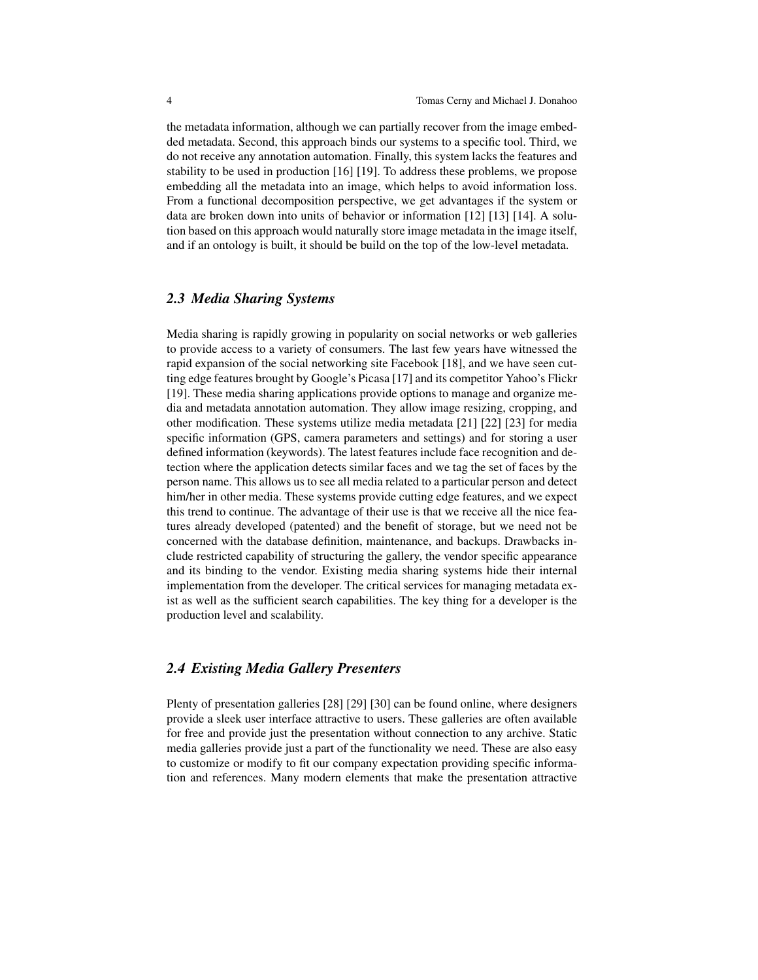the metadata information, although we can partially recover from the image embedded metadata. Second, this approach binds our systems to a specific tool. Third, we do not receive any annotation automation. Finally, this system lacks the features and stability to be used in production [16] [19]. To address these problems, we propose embedding all the metadata into an image, which helps to avoid information loss. From a functional decomposition perspective, we get advantages if the system or data are broken down into units of behavior or information [12] [13] [14]. A solution based on this approach would naturally store image metadata in the image itself, and if an ontology is built, it should be build on the top of the low-level metadata.

## *2.3 Media Sharing Systems*

Media sharing is rapidly growing in popularity on social networks or web galleries to provide access to a variety of consumers. The last few years have witnessed the rapid expansion of the social networking site Facebook [18], and we have seen cutting edge features brought by Google's Picasa [17] and its competitor Yahoo's Flickr [19]. These media sharing applications provide options to manage and organize media and metadata annotation automation. They allow image resizing, cropping, and other modification. These systems utilize media metadata [21] [22] [23] for media specific information (GPS, camera parameters and settings) and for storing a user defined information (keywords). The latest features include face recognition and detection where the application detects similar faces and we tag the set of faces by the person name. This allows us to see all media related to a particular person and detect him/her in other media. These systems provide cutting edge features, and we expect this trend to continue. The advantage of their use is that we receive all the nice features already developed (patented) and the benefit of storage, but we need not be concerned with the database definition, maintenance, and backups. Drawbacks include restricted capability of structuring the gallery, the vendor specific appearance and its binding to the vendor. Existing media sharing systems hide their internal implementation from the developer. The critical services for managing metadata exist as well as the sufficient search capabilities. The key thing for a developer is the production level and scalability.

## *2.4 Existing Media Gallery Presenters*

Plenty of presentation galleries [28] [29] [30] can be found online, where designers provide a sleek user interface attractive to users. These galleries are often available for free and provide just the presentation without connection to any archive. Static media galleries provide just a part of the functionality we need. These are also easy to customize or modify to fit our company expectation providing specific information and references. Many modern elements that make the presentation attractive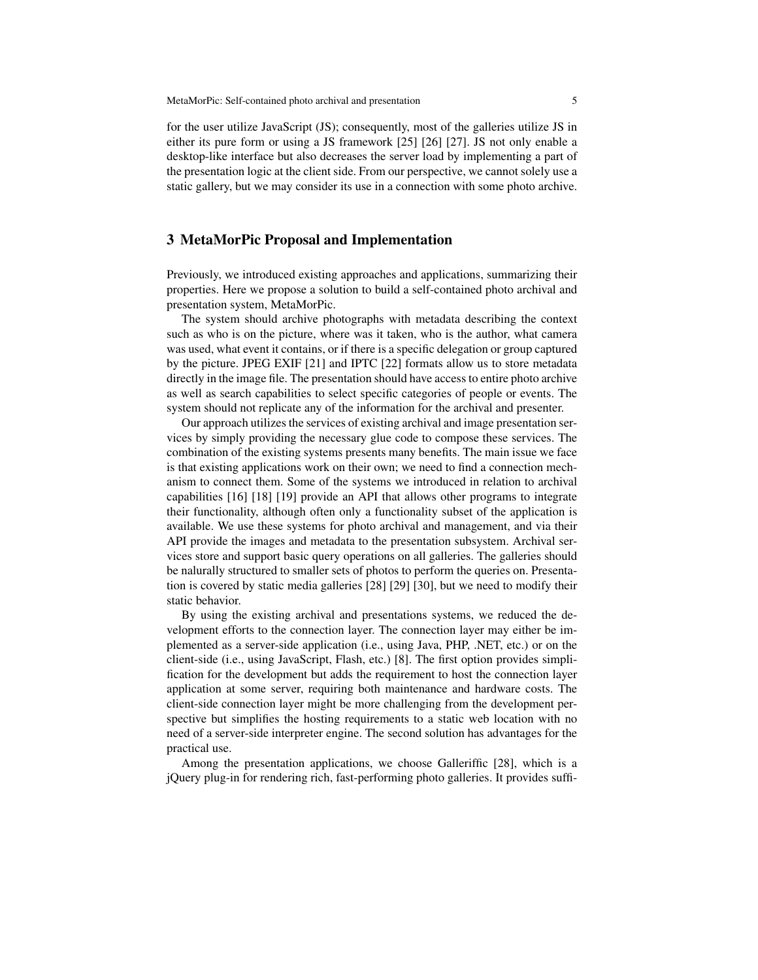static gallery, but we may consider its use in a connection with some photo archive.

#### 3 MetaMorPic Proposal and Implementation

Previously, we introduced existing approaches and applications, summarizing their properties. Here we propose a solution to build a self-contained photo archival and presentation system, MetaMorPic.

The system should archive photographs with metadata describing the context such as who is on the picture, where was it taken, who is the author, what camera was used, what event it contains, or if there is a specific delegation or group captured by the picture. JPEG EXIF [21] and IPTC [22] formats allow us to store metadata directly in the image file. The presentation should have access to entire photo archive as well as search capabilities to select specific categories of people or events. The system should not replicate any of the information for the archival and presenter.

Our approach utilizes the services of existing archival and image presentation services by simply providing the necessary glue code to compose these services. The combination of the existing systems presents many benefits. The main issue we face is that existing applications work on their own; we need to find a connection mechanism to connect them. Some of the systems we introduced in relation to archival capabilities [16] [18] [19] provide an API that allows other programs to integrate their functionality, although often only a functionality subset of the application is available. We use these systems for photo archival and management, and via their API provide the images and metadata to the presentation subsystem. Archival services store and support basic query operations on all galleries. The galleries should be nalurally structured to smaller sets of photos to perform the queries on. Presentation is covered by static media galleries [28] [29] [30], but we need to modify their static behavior.

By using the existing archival and presentations systems, we reduced the development efforts to the connection layer. The connection layer may either be implemented as a server-side application (i.e., using Java, PHP, .NET, etc.) or on the client-side (i.e., using JavaScript, Flash, etc.) [8]. The first option provides simplification for the development but adds the requirement to host the connection layer application at some server, requiring both maintenance and hardware costs. The client-side connection layer might be more challenging from the development perspective but simplifies the hosting requirements to a static web location with no need of a server-side interpreter engine. The second solution has advantages for the practical use.

Among the presentation applications, we choose Galleriffic [28], which is a jQuery plug-in for rendering rich, fast-performing photo galleries. It provides suffi-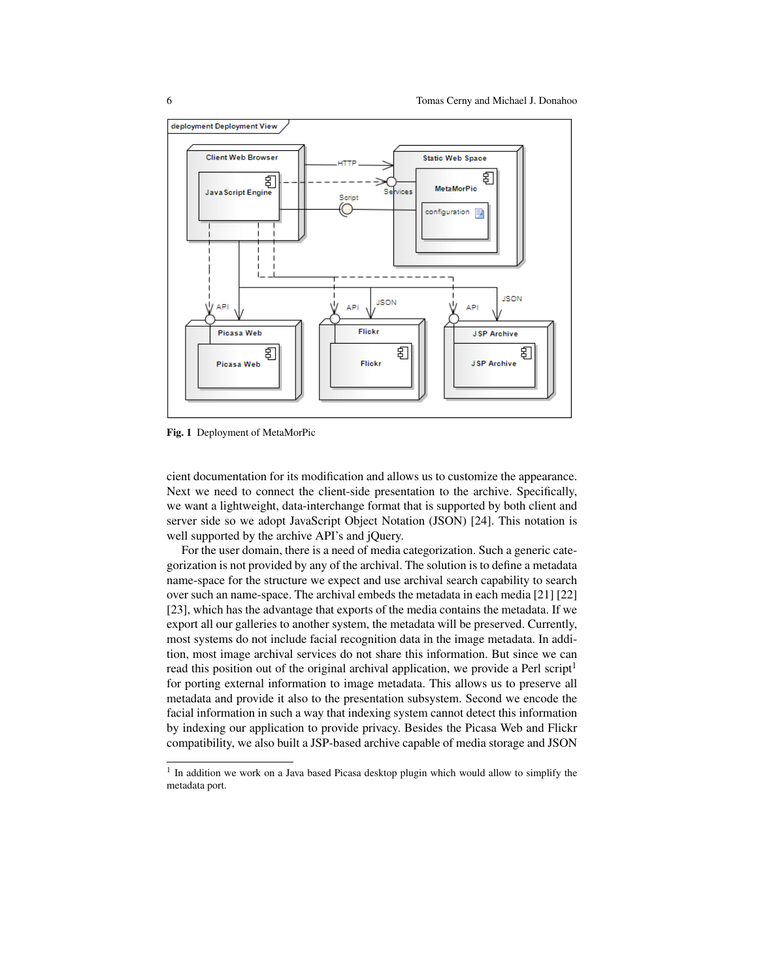

Fig. 1 Deployment of MetaMorPic

cient documentation for its modification and allows us to customize the appearance. Next we need to connect the client-side presentation to the archive. Specifically, we want a lightweight, data-interchange format that is supported by both client and server side so we adopt JavaScript Object Notation (JSON) [24]. This notation is well supported by the archive API's and jQuery.

For the user domain, there is a need of media categorization. Such a generic categorization is not provided by any of the archival. The solution is to define a metadata name-space for the structure we expect and use archival search capability to search over such an name-space. The archival embeds the metadata in each media [21] [22] [23], which has the advantage that exports of the media contains the metadata. If we export all our galleries to another system, the metadata will be preserved. Currently, most systems do not include facial recognition data in the image metadata. In addition, most image archival services do not share this information. But since we can read this position out of the original archival application, we provide a Perl script<sup>1</sup> for porting external information to image metadata. This allows us to preserve all metadata and provide it also to the presentation subsystem. Second we encode the facial information in such a way that indexing system cannot detect this information by indexing our application to provide privacy. Besides the Picasa Web and Flickr compatibility, we also built a JSP-based archive capable of media storage and JSON

<sup>&</sup>lt;sup>1</sup> In addition we work on a Java based Picasa desktop plugin which would allow to simplify the metadata port.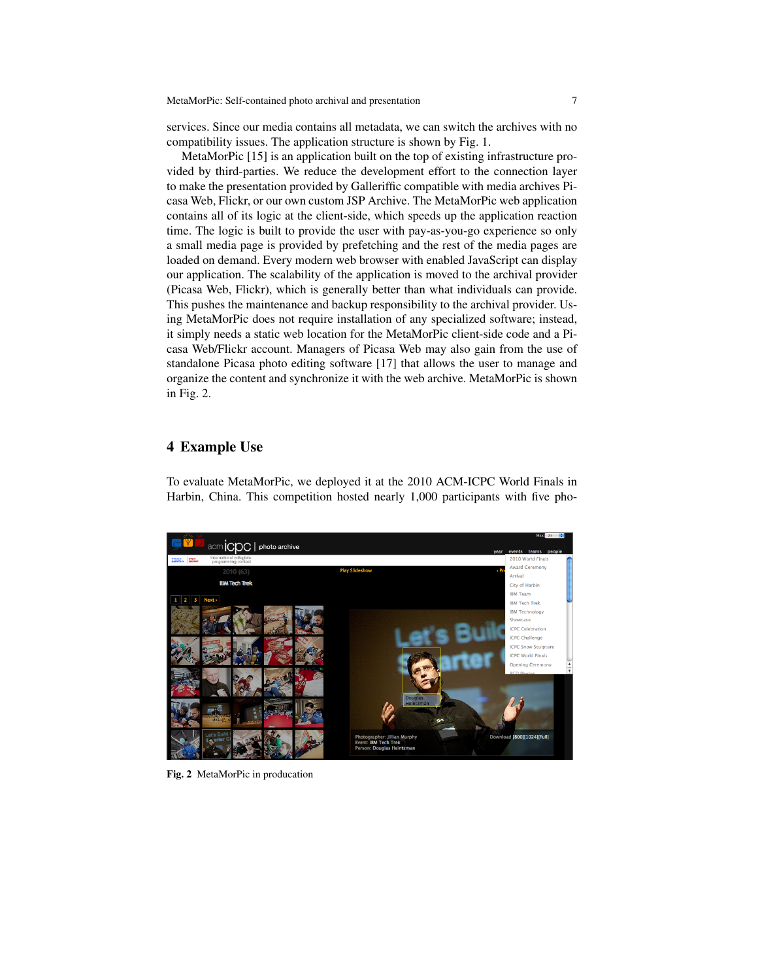services. Since our media contains all metadata, we can switch the archives with no compatibility issues. The application structure is shown by Fig. 1.

MetaMorPic [15] is an application built on the top of existing infrastructure provided by third-parties. We reduce the development effort to the connection layer to make the presentation provided by Galleriffic compatible with media archives Picasa Web, Flickr, or our own custom JSP Archive. The MetaMorPic web application contains all of its logic at the client-side, which speeds up the application reaction time. The logic is built to provide the user with pay-as-you-go experience so only a small media page is provided by prefetching and the rest of the media pages are loaded on demand. Every modern web browser with enabled JavaScript can display our application. The scalability of the application is moved to the archival provider (Picasa Web, Flickr), which is generally better than what individuals can provide. This pushes the maintenance and backup responsibility to the archival provider. Using MetaMorPic does not require installation of any specialized software; instead, it simply needs a static web location for the MetaMorPic client-side code and a Picasa Web/Flickr account. Managers of Picasa Web may also gain from the use of standalone Picasa photo editing software [17] that allows the user to manage and organize the content and synchronize it with the web archive. MetaMorPic is shown in Fig. 2.

### 4 Example Use

To evaluate MetaMorPic, we deployed it at the 2010 ACM-ICPC World Finals in Harbin, China. This competition hosted nearly 1,000 participants with five pho-



Fig. 2 MetaMorPic in producation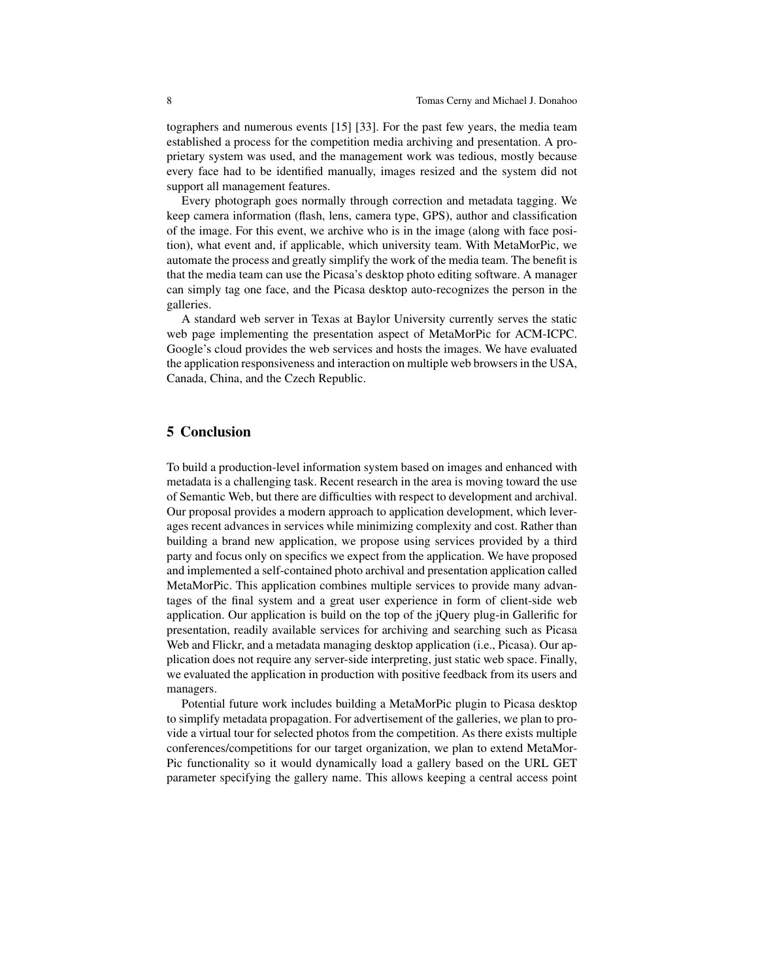tographers and numerous events [15] [33]. For the past few years, the media team established a process for the competition media archiving and presentation. A proprietary system was used, and the management work was tedious, mostly because every face had to be identified manually, images resized and the system did not support all management features.

Every photograph goes normally through correction and metadata tagging. We keep camera information (flash, lens, camera type, GPS), author and classification of the image. For this event, we archive who is in the image (along with face position), what event and, if applicable, which university team. With MetaMorPic, we automate the process and greatly simplify the work of the media team. The benefit is that the media team can use the Picasa's desktop photo editing software. A manager can simply tag one face, and the Picasa desktop auto-recognizes the person in the galleries.

A standard web server in Texas at Baylor University currently serves the static web page implementing the presentation aspect of MetaMorPic for ACM-ICPC. Google's cloud provides the web services and hosts the images. We have evaluated the application responsiveness and interaction on multiple web browsers in the USA, Canada, China, and the Czech Republic.

## 5 Conclusion

To build a production-level information system based on images and enhanced with metadata is a challenging task. Recent research in the area is moving toward the use of Semantic Web, but there are difficulties with respect to development and archival. Our proposal provides a modern approach to application development, which leverages recent advances in services while minimizing complexity and cost. Rather than building a brand new application, we propose using services provided by a third party and focus only on specifics we expect from the application. We have proposed and implemented a self-contained photo archival and presentation application called MetaMorPic. This application combines multiple services to provide many advantages of the final system and a great user experience in form of client-side web application. Our application is build on the top of the jQuery plug-in Gallerific for presentation, readily available services for archiving and searching such as Picasa Web and Flickr, and a metadata managing desktop application (i.e., Picasa). Our application does not require any server-side interpreting, just static web space. Finally, we evaluated the application in production with positive feedback from its users and managers.

Potential future work includes building a MetaMorPic plugin to Picasa desktop to simplify metadata propagation. For advertisement of the galleries, we plan to provide a virtual tour for selected photos from the competition. As there exists multiple conferences/competitions for our target organization, we plan to extend MetaMor-Pic functionality so it would dynamically load a gallery based on the URL GET parameter specifying the gallery name. This allows keeping a central access point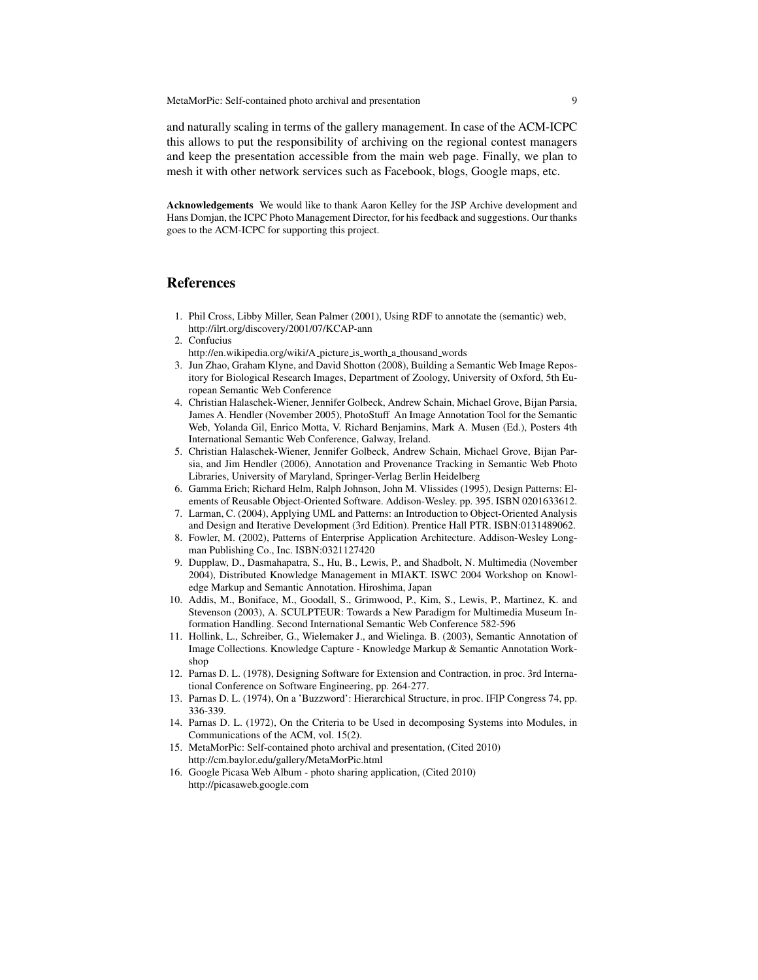MetaMorPic: Self-contained photo archival and presentation 9

and naturally scaling in terms of the gallery management. In case of the ACM-ICPC this allows to put the responsibility of archiving on the regional contest managers and keep the presentation accessible from the main web page. Finally, we plan to mesh it with other network services such as Facebook, blogs, Google maps, etc.

Acknowledgements We would like to thank Aaron Kelley for the JSP Archive development and Hans Domjan, the ICPC Photo Management Director, for his feedback and suggestions. Our thanks goes to the ACM-ICPC for supporting this project.

#### References

- 1. Phil Cross, Libby Miller, Sean Palmer (2001), Using RDF to annotate the (semantic) web, http://ilrt.org/discovery/2001/07/KCAP-ann
- 2. Confucius
- http://en.wikipedia.org/wiki/A<sub>-</sub>picture<sub>-is-worth-a-thousand-words</sub>
- 3. Jun Zhao, Graham Klyne, and David Shotton (2008), Building a Semantic Web Image Repository for Biological Research Images, Department of Zoology, University of Oxford, 5th European Semantic Web Conference
- 4. Christian Halaschek-Wiener, Jennifer Golbeck, Andrew Schain, Michael Grove, Bijan Parsia, James A. Hendler (November 2005), PhotoStuff An Image Annotation Tool for the Semantic Web, Yolanda Gil, Enrico Motta, V. Richard Benjamins, Mark A. Musen (Ed.), Posters 4th International Semantic Web Conference, Galway, Ireland.
- 5. Christian Halaschek-Wiener, Jennifer Golbeck, Andrew Schain, Michael Grove, Bijan Parsia, and Jim Hendler (2006), Annotation and Provenance Tracking in Semantic Web Photo Libraries, University of Maryland, Springer-Verlag Berlin Heidelberg
- 6. Gamma Erich; Richard Helm, Ralph Johnson, John M. Vlissides (1995), Design Patterns: Elements of Reusable Object-Oriented Software. Addison-Wesley. pp. 395. ISBN 0201633612.
- 7. Larman, C. (2004), Applying UML and Patterns: an Introduction to Object-Oriented Analysis and Design and Iterative Development (3rd Edition). Prentice Hall PTR. ISBN:0131489062.
- 8. Fowler, M. (2002), Patterns of Enterprise Application Architecture. Addison-Wesley Longman Publishing Co., Inc. ISBN:0321127420
- 9. Dupplaw, D., Dasmahapatra, S., Hu, B., Lewis, P., and Shadbolt, N. Multimedia (November 2004), Distributed Knowledge Management in MIAKT. ISWC 2004 Workshop on Knowledge Markup and Semantic Annotation. Hiroshima, Japan
- 10. Addis, M., Boniface, M., Goodall, S., Grimwood, P., Kim, S., Lewis, P., Martinez, K. and Stevenson (2003), A. SCULPTEUR: Towards a New Paradigm for Multimedia Museum Information Handling. Second International Semantic Web Conference 582-596
- 11. Hollink, L., Schreiber, G., Wielemaker J., and Wielinga. B. (2003), Semantic Annotation of Image Collections. Knowledge Capture - Knowledge Markup & Semantic Annotation Workshop
- 12. Parnas D. L. (1978), Designing Software for Extension and Contraction, in proc. 3rd International Conference on Software Engineering, pp. 264-277.
- 13. Parnas D. L. (1974), On a 'Buzzword': Hierarchical Structure, in proc. IFIP Congress 74, pp. 336-339.
- 14. Parnas D. L. (1972), On the Criteria to be Used in decomposing Systems into Modules, in Communications of the ACM, vol. 15(2).
- 15. MetaMorPic: Self-contained photo archival and presentation, (Cited 2010) http://cm.baylor.edu/gallery/MetaMorPic.html
- 16. Google Picasa Web Album photo sharing application, (Cited 2010) http://picasaweb.google.com